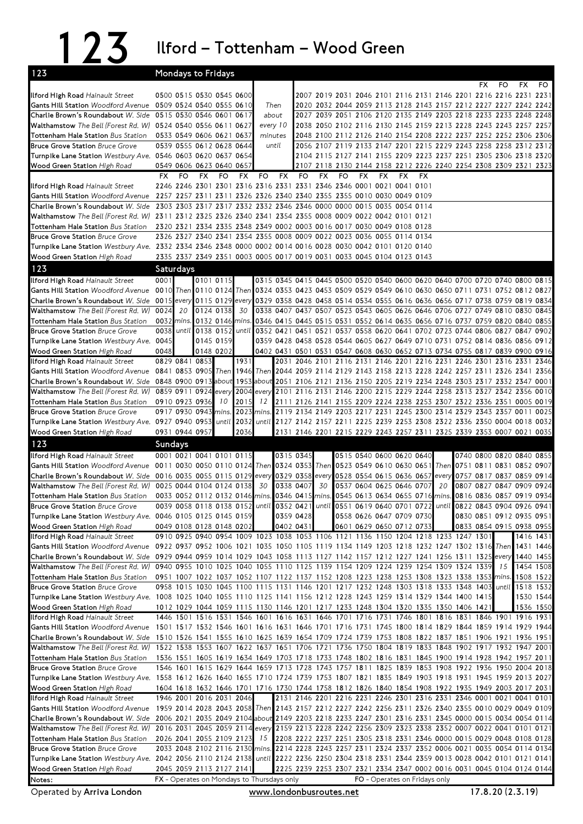123 Ilford – Tottenham – Wood Green

| 123                                                                                                                                             | Mondays to Fridays                                                                                                                                                                                         |                 |           |           |               |                                                                                                                                                                |           |                                                                                                                                      |           |                               |     |     |    |     |                          |           |           |
|-------------------------------------------------------------------------------------------------------------------------------------------------|------------------------------------------------------------------------------------------------------------------------------------------------------------------------------------------------------------|-----------------|-----------|-----------|---------------|----------------------------------------------------------------------------------------------------------------------------------------------------------------|-----------|--------------------------------------------------------------------------------------------------------------------------------------|-----------|-------------------------------|-----|-----|----|-----|--------------------------|-----------|-----------|
|                                                                                                                                                 |                                                                                                                                                                                                            |                 |           |           |               |                                                                                                                                                                |           |                                                                                                                                      |           |                               |     |     |    | FX. | FO                       | <b>FX</b> | FO.       |
| Ilford High Road Hainault Street                                                                                                                | 0500 0515 0530 0545 0600                                                                                                                                                                                   |                 |           |           |               |                                                                                                                                                                |           | 2007 2019 2031 2046 2101 2116 2131 2146 2201 2216 2216 2231 2231                                                                     |           |                               |     |     |    |     |                          |           |           |
| Gants Hill Station Woodford Avenue 0509 0524 0540 0555 0610<br>Charlie Brown's Roundabout W. Side 0515 0530 0546 0601 0617                      |                                                                                                                                                                                                            |                 |           |           | Then<br>about |                                                                                                                                                                |           | 2020 2032 2044 2059 2113 2128 2143 2157 2212 2227 2227 2242 2242<br>2027 2039 2051 2106 2120 2135 2149 2203 2218 2233 2233 2248 2248 |           |                               |     |     |    |     |                          |           |           |
| Walthamstow The Bell (Forest Rd. W) 0524 0540 0556 0611 0627                                                                                    |                                                                                                                                                                                                            |                 |           |           | every 10      |                                                                                                                                                                |           | 2038 2050 2102 2116 2130 2145 2159 2213 2228 2243 2243 2257 2257                                                                     |           |                               |     |     |    |     |                          |           |           |
| Tottenham Hale Station Bus Station                                                                                                              | 0533 0549 0606 0621 0637                                                                                                                                                                                   |                 |           |           | minutes       |                                                                                                                                                                |           | 2048 2100 2112 2126 2140 2154 2208 2222 2237 2252 2252 2306 2306                                                                     |           |                               |     |     |    |     |                          |           |           |
| <b>Bruce Grove Station Bruce Grove</b>                                                                                                          | 0539 0555 0612 0628 0644                                                                                                                                                                                   |                 |           |           | until         |                                                                                                                                                                |           | 2056 2107 2119 2133 2147 2201 2215 2229 2243 2258 2258 2312 2312                                                                     |           |                               |     |     |    |     |                          |           |           |
| Turnpike Lane Station Westbury Ave. 0546 0603 0620 0637 0654                                                                                    |                                                                                                                                                                                                            |                 |           |           |               |                                                                                                                                                                |           | 2104 2115 2127 2141 2155 2209 2223 2237 2251 2305 2306 2318 2320                                                                     |           |                               |     |     |    |     |                          |           |           |
| Wood Green Station High Road                                                                                                                    | 0549 0606 0623 0640 0657                                                                                                                                                                                   |                 |           |           |               |                                                                                                                                                                |           | 2107 2118 2130 2144 2158 2212 2226 2240 2254 2308 2309 2321 2323                                                                     |           |                               |     |     |    |     |                          |           |           |
|                                                                                                                                                 | <b>FX</b><br>FO                                                                                                                                                                                            | <b>FX</b>       | FO        | <b>FX</b> | FO            | FX<br>FO                                                                                                                                                       | <b>FX</b> | FO                                                                                                                                   | <b>FX</b> | <b>FX</b>                     | FX. | FX. |    |     |                          |           |           |
| Ilford High Road Hainault Street                                                                                                                | 2246 2246 2301 2301 2316 2316 2331 2331 2346 2346 0001 0021 0041 0101                                                                                                                                      |                 |           |           |               |                                                                                                                                                                |           |                                                                                                                                      |           |                               |     |     |    |     |                          |           |           |
| Gants Hill Station Woodford Avenue 2257 2257 2311 2311 2326 2326 2340 2340 2355 2355 0010 0030 0049 0109                                        |                                                                                                                                                                                                            |                 |           |           |               |                                                                                                                                                                |           |                                                                                                                                      |           |                               |     |     |    |     |                          |           |           |
| Charlie Brown's Roundabout W. Side 2303 2303 2317 2317 2332 2332 2346 2346 0000 0000 0015 0035 0054 0114                                        |                                                                                                                                                                                                            |                 |           |           |               |                                                                                                                                                                |           |                                                                                                                                      |           |                               |     |     |    |     |                          |           |           |
| Walthamstow The Bell (Forest Rd. W) 2311 2312 2325 2326 2340 2341 2354 2355 0008 0009 0022 0042 0101 0121<br>Tottenham Hale Station Bus Station | 2320 2321 2334 2335 2348 2349 0002 0003 0016 0017 0030 0049 0108 0128                                                                                                                                      |                 |           |           |               |                                                                                                                                                                |           |                                                                                                                                      |           |                               |     |     |    |     |                          |           |           |
| <b>Bruce Grove Station Bruce Grove</b>                                                                                                          | 2326 2327 2340 2341 2354 2355 0008 0009 0022 0023 0036 0055 0114 0134                                                                                                                                      |                 |           |           |               |                                                                                                                                                                |           |                                                                                                                                      |           |                               |     |     |    |     |                          |           |           |
| Turnpike Lane Station Westbury Ave. 2332 2334 2346 2348 0000 0002 0014 0016 0028 0030 0042 0101 0120 0140                                       |                                                                                                                                                                                                            |                 |           |           |               |                                                                                                                                                                |           |                                                                                                                                      |           |                               |     |     |    |     |                          |           |           |
| Wood Green Station High Road                                                                                                                    | 2335 2337 2349 2351 0003 0005 0017 0019 0031 0033 0045 0104 0123 0143                                                                                                                                      |                 |           |           |               |                                                                                                                                                                |           |                                                                                                                                      |           |                               |     |     |    |     |                          |           |           |
| 123                                                                                                                                             | Saturdays                                                                                                                                                                                                  |                 |           |           |               |                                                                                                                                                                |           |                                                                                                                                      |           |                               |     |     |    |     |                          |           |           |
| Ilford High Road Hainault Street                                                                                                                | 0001                                                                                                                                                                                                       |                 | 0101 0115 |           |               | 0315 0345 0415 0445 0500 0520 0540 0600 0620 0640 0700 0720 0740 0800 0815                                                                                     |           |                                                                                                                                      |           |                               |     |     |    |     |                          |           |           |
| Gants Hill Station Woodford Avenue                                                                                                              | 0010 Then 0110 0124 Then 0324 0353 0423 0453 0509 0529 0549 0610 0630 0650 0711 0731 0752 0812 0827                                                                                                        |                 |           |           |               |                                                                                                                                                                |           |                                                                                                                                      |           |                               |     |     |    |     |                          |           |           |
| Charlie Brown's Roundabout W. Side 0015 every 0115 0129                                                                                         |                                                                                                                                                                                                            |                 |           | every     |               | 0329 0358 0428 0458 0514 0534 0555 0616 0636 0656 0717 0738 0759 0819 0834                                                                                     |           |                                                                                                                                      |           |                               |     |     |    |     |                          |           |           |
| Walthamstow The Bell (Forest Rd. W)                                                                                                             | 0024<br>20                                                                                                                                                                                                 |                 | 0124 0138 | 30        |               | 0338 0407 0437 0507 0523 0543 0605 0626 0646 0706 0727 0749 0810 0830 0845                                                                                     |           |                                                                                                                                      |           |                               |     |     |    |     |                          |           |           |
| Tottenham Hale Station Bus Station                                                                                                              | 0032 mins.                                                                                                                                                                                                 |                 | 0132 0146 | mins.     |               | 0346 0415 0445 0515 0531 0552 0614 0635 0656 0716 0737 0759 0820 0840 0855                                                                                     |           |                                                                                                                                      |           |                               |     |     |    |     |                          |           |           |
| <b>Bruce Grove Station Bruce Grove</b>                                                                                                          | 0038                                                                                                                                                                                                       | until 0138 0152 |           | until     |               | 0352 0421 0451 0521 0537 0558 0620 0641 0702 0723 0744 0806 0827 0847                                                                                          |           |                                                                                                                                      |           |                               |     |     |    |     |                          |           | 0902      |
| Turnpike Lane Station Westbury Ave. 0045                                                                                                        |                                                                                                                                                                                                            |                 | 0145 0159 |           |               | 0359 0428 0458 0528 0544 0605 0627 0649 0710 0731 0752 0814 0836 0856 0912                                                                                     |           |                                                                                                                                      |           |                               |     |     |    |     |                          |           |           |
| <b>Wood Green Station High Road</b>                                                                                                             | 0048                                                                                                                                                                                                       |                 | 0148 0202 |           |               | 0402 0431 0501 0531 0547 0608 0630 0652 0713 0734 0755 0817 0839 0900 0916                                                                                     |           |                                                                                                                                      |           |                               |     |     |    |     |                          |           |           |
| Ilford High Road Hainault Street                                                                                                                | 0829 0841 0853                                                                                                                                                                                             |                 |           | 1931      |               | 2031 2046 2101 2116 2131 2146 2201 2216 2231 2246 2301 2316 2331 2346                                                                                          |           |                                                                                                                                      |           |                               |     |     |    |     |                          |           |           |
| Gants Hill Station Woodford Avenue<br>Charlie Brown's Roundabout W. Side 0848 0900 0913 about                                                   | 0841 0853 0905 Then                                                                                                                                                                                        |                 |           | 1946      |               | Then 2044 2059 2114 2129 2143 2158 2213 2228 2242 2257 2311 2326 2341 2356<br>1953 about 2051 2106 2121 2136 2150 2205 2219 2234 2248 2303 2317 2332 2347 0001 |           |                                                                                                                                      |           |                               |     |     |    |     |                          |           |           |
| Walthamstow The Bell (Forest Rd. W)                                                                                                             | 0859 0911 0924 every                                                                                                                                                                                       |                 |           |           |               | 2004 every 2101 2116 2131 2146 2200 2215 2229 2244 2258 2313 2327 2342 2356 0010                                                                               |           |                                                                                                                                      |           |                               |     |     |    |     |                          |           |           |
| Tottenham Hale Station Bus Station                                                                                                              | 0910 0923 0936                                                                                                                                                                                             |                 | 10        | 2015      |               | 12 2111 2126 2141 2155 2209 2224 2238 2253 2307 2322 2336 2351 0005 0019                                                                                       |           |                                                                                                                                      |           |                               |     |     |    |     |                          |           |           |
| <b>Bruce Grove Station Bruce Grove</b>                                                                                                          | 0917 0930 0943 mins.                                                                                                                                                                                       |                 |           |           |               | 2023 mins. 2119 2134 2149 2203 2217 2231 2245 2300 2314 2329 2343 2357 0011 0025                                                                               |           |                                                                                                                                      |           |                               |     |     |    |     |                          |           |           |
| Turnpike Lane Station Westbury Ave. 0927 0940 0953 until                                                                                        |                                                                                                                                                                                                            |                 |           | 2032      |               | until 2127 2142 2157 2211 2225 2239 2253 2308 2322 2336 2350 0004 0018 0032                                                                                    |           |                                                                                                                                      |           |                               |     |     |    |     |                          |           |           |
| Wood Green Station High Road                                                                                                                    | 0931 0944 0957                                                                                                                                                                                             |                 |           | 2036      |               | 2131 2146 2201 2215 2229 2243 2257 2311 2325 2339 2353 0007 0021 0035                                                                                          |           |                                                                                                                                      |           |                               |     |     |    |     |                          |           |           |
|                                                                                                                                                 |                                                                                                                                                                                                            |                 |           |           |               |                                                                                                                                                                |           |                                                                                                                                      |           |                               |     |     |    |     |                          |           |           |
| 123                                                                                                                                             | Sundays                                                                                                                                                                                                    |                 |           |           |               |                                                                                                                                                                |           |                                                                                                                                      |           |                               |     |     |    |     |                          |           |           |
| Ilford High Road Hainault Street                                                                                                                | 0001 0021 0041 0101 0115                                                                                                                                                                                   |                 |           |           |               | 0315 0345                                                                                                                                                      |           |                                                                                                                                      |           | 0515 0540 0600 0620 0640      |     |     |    |     | 0740 0800 0820 0840 0855 |           |           |
| Gants Hill Station Woodford Avenue 0011 0030 0050 0110 0124 Then 0324 0353 Then 0523 0549 0610 0630 0651 Then 0751 0811 0831 0852 0907          |                                                                                                                                                                                                            |                 |           |           |               |                                                                                                                                                                |           |                                                                                                                                      |           |                               |     |     |    |     |                          |           |           |
| Charlie Brown's Roundabout W. Side 0016 0035 0055 0115 0129                                                                                     |                                                                                                                                                                                                            |                 |           |           |               | every 0329 0358 every 0528 0554 0615 0636 0657 every 0757 0817 0837 0859 0914                                                                                  |           |                                                                                                                                      |           |                               |     |     |    |     |                          |           |           |
| Walthamstow The Bell (Forest Rd. W)                                                                                                             | 0025 0044 0104 0124 0138                                                                                                                                                                                   |                 |           |           |               | 30 0338 0407                                                                                                                                                   | 30        |                                                                                                                                      |           | 0537 0604 0625 0646 0707      |     |     | 20 |     | 0807 0827 0847 0909 0924 |           |           |
| <b>Tottenham Hale Station</b> Bus Station                                                                                                       | 0033 0052 0112 0132 0146 mins. 0346 0415 mins. 0545 0613 0634 0655 0716 mins. 0816 0836 0857 0919 0934                                                                                                     |                 |           |           |               |                                                                                                                                                                |           |                                                                                                                                      |           |                               |     |     |    |     |                          |           |           |
| <b>Bruce Grove Station Bruce Grove</b>                                                                                                          | 0039 0058 0118 0138 0152 until 0352 0421 until 0551 0619 0640 0701 0722 until 0822 0843 0904 0926 0941                                                                                                     |                 |           |           |               |                                                                                                                                                                |           |                                                                                                                                      |           |                               |     |     |    |     |                          |           |           |
| Turnpike Lane Station Westbury Ave. 0046 0105 0125 0145 0159                                                                                    |                                                                                                                                                                                                            |                 |           |           |               | 0359 0428                                                                                                                                                      |           |                                                                                                                                      |           | 0558 0626 0647 0709 0730      |     |     |    |     | 0830 0851 0912 0935 0951 |           |           |
| Wood Green Station High Road                                                                                                                    | 0049 0108 0128 0148 0202<br>0910 0925 0940 0954 1009 1023 1038 1053 1106 1121 1136 1150 1204 1218 1233 1247 1301                                                                                           |                 |           |           |               | 0402 0431                                                                                                                                                      |           |                                                                                                                                      |           | 0601 0629 0650 0712 0733      |     |     |    |     | 0833 0854 0915 0938 0955 |           | 1416 1431 |
| Ilford High Road Hainault Street<br>Gants Hill Station Woodford Avenue                                                                          | 0922 0937 0952 1006 1021 1035 1050 1105 1119 1134 1149 1203 1218 1232 1247 1302 1316 Then                                                                                                                  |                 |           |           |               |                                                                                                                                                                |           |                                                                                                                                      |           |                               |     |     |    |     |                          |           | 1431 1446 |
| Charlie Brown's Roundabout W. Side 0929 0944 0959 1014 1029 1043 1058 1113 1127 1142 1157 1212 1227 1241 1256 1311 1325 every                   |                                                                                                                                                                                                            |                 |           |           |               |                                                                                                                                                                |           |                                                                                                                                      |           |                               |     |     |    |     |                          |           | 1440 1455 |
| Walthamstow The Bell (Forest Rd. W)                                                                                                             | 0940 0955 1010 1025 1040 1055 1110 1125 1139 1154 1209 1224 1239 1254 1309 1324 1339                                                                                                                       |                 |           |           |               |                                                                                                                                                                |           |                                                                                                                                      |           |                               |     |     |    |     | 15                       |           | 1454 1508 |
| <b>Tottenham Hale Station</b> Bus Station                                                                                                       | 0951 1007 1022 1037 1052 1107 1122 1137 1152 1208 1223 1238 1253 1308 1323 1338 1353 mins.                                                                                                                 |                 |           |           |               |                                                                                                                                                                |           |                                                                                                                                      |           |                               |     |     |    |     |                          |           | 1508 1522 |
| <b>Bruce Grove Station Bruce Grove</b>                                                                                                          | 0958 1015 1030 1045 1100 1115 1131 1146 1201 1217 1232 1248 1303 1318 1333 1348 1403 until                                                                                                                 |                 |           |           |               |                                                                                                                                                                |           |                                                                                                                                      |           |                               |     |     |    |     |                          |           | 1518 1532 |
| Turnpike Lane Station Westbury Ave. 1008 1025 1040 1055 1110 1125 1141 1156 1212 1228 1243 1259 1314 1329 1344 1400 1415                        |                                                                                                                                                                                                            |                 |           |           |               |                                                                                                                                                                |           |                                                                                                                                      |           |                               |     |     |    |     |                          |           | 1530 1544 |
| Wood Green Station High Road                                                                                                                    | 1012 1029 1044 1059 1115 1130 1146 1201 1217 1233 1248 1304 1320 1335 1350 1406 1421                                                                                                                       |                 |           |           |               |                                                                                                                                                                |           |                                                                                                                                      |           |                               |     |     |    |     |                          |           | 1536 1550 |
| Ilford High Road Hainault Street                                                                                                                | 1446 1501 1516 1531 1546 1601 1616 1631 1646 1701 1716 1731 1746 1801 1816 1831 1846 1901 1916 1931                                                                                                        |                 |           |           |               |                                                                                                                                                                |           |                                                                                                                                      |           |                               |     |     |    |     |                          |           |           |
| Gants Hill Station Woodford Avenue<br>Charlie Brown's Roundabout W. Side                                                                        | 1501 1517 1532 1546 1601 1616 1631 1646 1701 1716 1731 1745 1800 1814 1829 1844 1859 1914 1929 1944<br>1510 1526 1541 1555 1610 1625 1639 1654 1709 1724 1739 1753 1808 1822 1837 1851 1906 1921 1936 1951 |                 |           |           |               |                                                                                                                                                                |           |                                                                                                                                      |           |                               |     |     |    |     |                          |           |           |
| Walthamstow The Bell (Forest Rd. W)                                                                                                             | 1522 1538 1553 1607 1622 1637 1651 1706 1721 1736 1750 1804 1819 1833 1848 1902 1917 1932 1947 2001                                                                                                        |                 |           |           |               |                                                                                                                                                                |           |                                                                                                                                      |           |                               |     |     |    |     |                          |           |           |
| Tottenham Hale Station Bus Station                                                                                                              | 1536 1551 1605 1619 1634 1649 1703 1718 1733 1748 1802 1816 1831 1845 1900 1914 1928 1942 1957 2011                                                                                                        |                 |           |           |               |                                                                                                                                                                |           |                                                                                                                                      |           |                               |     |     |    |     |                          |           |           |
| <b>Bruce Grove Station Bruce Grove</b>                                                                                                          | 1546 1601 1615 1629 1644 1659 1713 1728 1743 1757 1811 1825 1839 1853 1908 1922 1936 1950 2004 2018                                                                                                        |                 |           |           |               |                                                                                                                                                                |           |                                                                                                                                      |           |                               |     |     |    |     |                          |           |           |
| Turnpike Lane Station Westbury Ave. 1558 1612 1626 1640 1655 1710 1724 1739 1753 1807 1821 1835 1849 1903 1918 1931 1945 1959 2013 2027         |                                                                                                                                                                                                            |                 |           |           |               |                                                                                                                                                                |           |                                                                                                                                      |           |                               |     |     |    |     |                          |           |           |
| Wood Green Station High Road                                                                                                                    | 1604 1618 1632 1646 1701 1716 1730 1744 1758 1812 1826 1840 1854 1908 1922 1935 1949 2003 2017 2031                                                                                                        |                 |           |           |               |                                                                                                                                                                |           |                                                                                                                                      |           |                               |     |     |    |     |                          |           |           |
| Ilford High Road Hainault Street                                                                                                                | 1946 2001 2016 2031 2046                                                                                                                                                                                   |                 |           |           |               | 2131 2146 2201 2216 2231 2246 2301 2316 2331 2346 0001 0021 0041 0101                                                                                          |           |                                                                                                                                      |           |                               |     |     |    |     |                          |           |           |
| <b>Gants Hill Station Woodford Avenue</b>                                                                                                       | 1959 2014 2028 2043 2058 Then 2143 2157 2212 2227 2242 2256 2311 2326 2340 2355 0010 0029 0049 0109                                                                                                        |                 |           |           |               |                                                                                                                                                                |           |                                                                                                                                      |           |                               |     |     |    |     |                          |           |           |
| Charlie Brown's Roundabout W. Side 2006 2021 2035 2049 2104 about 2149 2203 2218 2233 2247 2301 2316 2331 2345 0000 0015 0034 0054 0114         |                                                                                                                                                                                                            |                 |           |           |               |                                                                                                                                                                |           |                                                                                                                                      |           |                               |     |     |    |     |                          |           |           |
| Walthamstow The Bell (Forest Rd. W)                                                                                                             | 2016 2031 2045 2059 2114 every 2159 2213 2228 2242 2256 2309 2323 2338 2352 0007 0022 0041 0101 0121                                                                                                       |                 |           |           |               |                                                                                                                                                                |           |                                                                                                                                      |           |                               |     |     |    |     |                          |           |           |
| Tottenham Hale Station Bus Station<br><b>Bruce Grove Station Bruce Grove</b>                                                                    | 2026 2041 2055 2109 2123<br>2033 2048 2102 2116 2130 mins. 2214 2228 2243 2257 2311 2324 2337 2352 0006 0021 0035 0054 0114 0134                                                                           |                 |           |           |               | 15 2208 2222 2237 2251 2305 2318 2331 2346 0000 0015 0029 0048 0108 0128                                                                                       |           |                                                                                                                                      |           |                               |     |     |    |     |                          |           |           |
| Turnpike Lane Station Westbury Ave. 2042 2056 2110 2124 2138 until 2222 2236 2250 2304 2318 2331 2344 2359 0013 0028 0042 0101 0121 0141        |                                                                                                                                                                                                            |                 |           |           |               |                                                                                                                                                                |           |                                                                                                                                      |           |                               |     |     |    |     |                          |           |           |
| Wood Green Station High Road                                                                                                                    | 2045 2059 2113 2127 2141                                                                                                                                                                                   |                 |           |           |               | 2225 2239 2253 2307 2321 2334 2347 0002 0016 0031 0045 0104 0124 0144                                                                                          |           |                                                                                                                                      |           |                               |     |     |    |     |                          |           |           |
| Notes:                                                                                                                                          | <b>FX</b> - Operates on Mondays to Thursdays only                                                                                                                                                          |                 |           |           |               |                                                                                                                                                                |           |                                                                                                                                      |           | FO - Operates on Fridays only |     |     |    |     |                          |           |           |